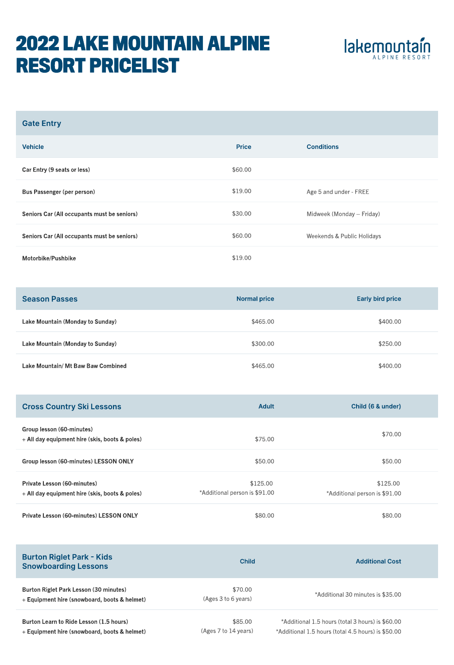## 2022 lake mountain alpine resort pricelist



| <b>Gate Entry</b>                           |              |                            |
|---------------------------------------------|--------------|----------------------------|
| <b>Vehicle</b>                              | <b>Price</b> | <b>Conditions</b>          |
| Car Entry (9 seats or less)                 | \$60.00      |                            |
| Bus Passenger (per person)                  | \$19.00      | Age 5 and under - FREE     |
| Seniors Car (All occupants must be seniors) | \$30.00      | Midweek (Monday - Friday)  |
| Seniors Car (All occupants must be seniors) | \$60.00      | Weekends & Public Holidays |
| Motorbike/Pushbike                          | \$19.00      |                            |

| <b>Season Passes</b>               | <b>Normal price</b> | <b>Early bird price</b> |
|------------------------------------|---------------------|-------------------------|
| Lake Mountain (Monday to Sunday)   | \$465.00            | \$400.00                |
| Lake Mountain (Monday to Sunday)   | \$300.00            | \$250.00                |
| Lake Mountain/ Mt Baw Baw Combined | \$465.00            | \$400.00                |

| <b>Cross Country Ski Lessons</b>                                              | Adult                                     | Child (6 & under)                         |  |
|-------------------------------------------------------------------------------|-------------------------------------------|-------------------------------------------|--|
| Group lesson (60-minutes)<br>$+$ All day equipment hire (skis, boots & poles) | \$75.00                                   | \$70.00                                   |  |
| Group lesson (60-minutes) LESSON ONLY                                         | \$50.00                                   | \$50.00                                   |  |
| Private Lesson (60-minutes)<br>+ All day equipment hire (skis, boots & poles) | \$125.00<br>*Additional person is \$91.00 | \$125.00<br>*Additional person is \$91.00 |  |
| Private Lesson (60-minutes) LESSON ONLY                                       | \$80.00                                   | \$80.00                                   |  |

| <b>Burton Riglet Park - Kids</b><br><b>Snowboarding Lessons</b>                         | Child                           | <b>Additional Cost</b>                                                                                 |
|-----------------------------------------------------------------------------------------|---------------------------------|--------------------------------------------------------------------------------------------------------|
| Burton Riglet Park Lesson (30 minutes)<br>+ Equipment hire (snowboard, boots & helmet)  | \$70.00<br>(Ages 3 to 6 years)  | *Additional 30 minutes is \$35.00                                                                      |
| Burton Learn to Ride Lesson (1.5 hours)<br>+ Equipment hire (snowboard, boots & helmet) | \$85,00<br>(Ages 7 to 14 years) | *Additional 1.5 hours (total 3 hours) is \$60.00<br>*Additional 1.5 hours (total 4.5 hours) is \$50.00 |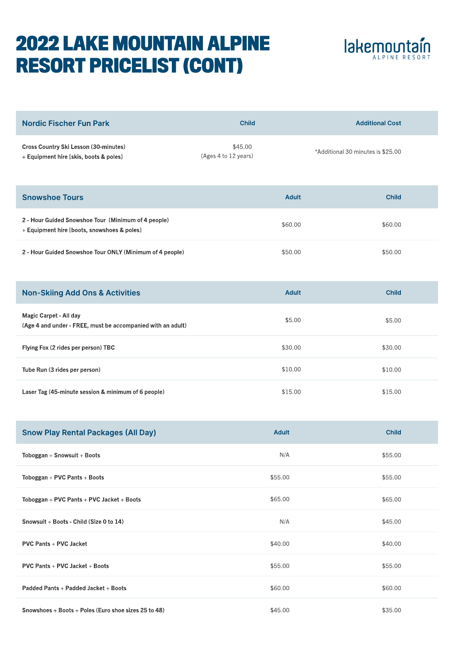## 2022 lake mountain alpine resort pricelist (Cont)



| <b>Nordic Fischer Fun Park</b>                                                  | <b>Child</b>                    | <b>Additional Cost</b>            |
|---------------------------------------------------------------------------------|---------------------------------|-----------------------------------|
| Cross Country Ski Lesson (30-minutes)<br>+ Equipment hire [skis, boots & poles] | \$45.00<br>(Ages 4 to 12 years) | *Additional 30 minutes is \$25.00 |

| <b>Snowshoe Tours</b>                                                                              | <b>Adult</b> | <b>Child</b> |
|----------------------------------------------------------------------------------------------------|--------------|--------------|
| 2 - Hour Guided Snowshoe Tour (Minimum of 4 people)<br>+ Equipment hire [boots, snowshoes & poles] | \$60.00      | \$60.00      |
| 2 - Hour Guided Snowshoe Tour ONLY (Minimum of 4 people)                                           | \$50.00      | \$50.00      |

| <b>Non-Skiing Add Ons &amp; Activities</b>                                            | <b>Adult</b> | <b>Child</b> |
|---------------------------------------------------------------------------------------|--------------|--------------|
| Magic Carpet - All day<br>(Age 4 and under - FREE, must be accompanied with an adult) | \$5.00       | \$5.00       |
| Flying Fox (2 rides per person) TBC                                                   | \$30.00      | \$30.00      |
| Tube Run (3 rides per person)                                                         | \$10.00      | \$10.00      |
| Laser Tag (45-minute session & minimum of 6 people)                                   | \$15.00      | \$15.00      |

| <b>Snow Play Rental Packages (All Day)</b>           | <b>Adult</b> | <b>Child</b> |
|------------------------------------------------------|--------------|--------------|
| Toboggan + Snowsuit + Boots                          | N/A          | \$55.00      |
| Toboggan + PVC Pants + Boots                         | \$55.00      | \$55.00      |
| Toboggan + PVC Pants + PVC Jacket + Boots            | \$65.00      | \$65.00      |
| Snowsuit + Boots - Child (Size 0 to 14)              | N/A          | \$45.00      |
| <b>PVC Pants + PVC Jacket</b>                        | \$40.00      | \$40.00      |
| PVC Pants + PVC Jacket + Boots                       | \$55.00      | \$55.00      |
| Padded Pants + Padded Jacket + Boots                 | \$60.00      | \$60.00      |
| Snowshoes + Boots + Poles (Euro shoe sizes 25 to 48) | \$45.00      | \$35.00      |